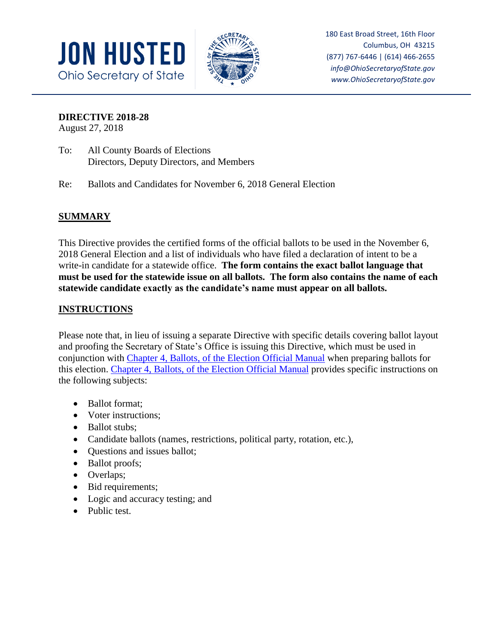



180 East Broad Street, 16th Floor Columbus, OH 43215 (877) 767-6446 | (614) 466-2655 *info@OhioSecretaryofState.gov www.OhioSecretaryofState.gov*

### **DIRECTIVE 2018-28**

August 27, 2018

- To: All County Boards of Elections Directors, Deputy Directors, and Members
- Re: Ballots and Candidates for November 6, 2018 General Election

# **SUMMARY**

This Directive provides the certified forms of the official ballots to be used in the November 6, 2018 General Election and a list of individuals who have filed a declaration of intent to be a write-in candidate for a statewide office. **The form contains the exact ballot language that must be used for the statewide issue on all ballots. The form also contains the name of each statewide candidate exactly as the candidate's name must appear on all ballots.**

### **INSTRUCTIONS**

Please note that, in lieu of issuing a separate Directive with specific details covering ballot layout and proofing the Secretary of State's Office is issuing this Directive, which must be used in conjunction with Chapter 4, Ballots, [of the Election Official Manual](https://www.sos.state.oh.us/globalassets/elections/directives/2016/dir2016-22_eom-ch_04.pdf) when preparing ballots for this election. Chapter 4, Ballots, [of the Election Official Manual](https://www.sos.state.oh.us/globalassets/elections/directives/2016/dir2016-22_eom-ch_04.pdf) provides specific instructions on the following subjects:

- Ballot format:
- Voter instructions;
- Ballot stubs:
- Candidate ballots (names, restrictions, political party, rotation, etc.),
- Questions and issues ballot;
- Ballot proofs;
- Overlaps;
- Bid requirements;
- Logic and accuracy testing; and
- Public test.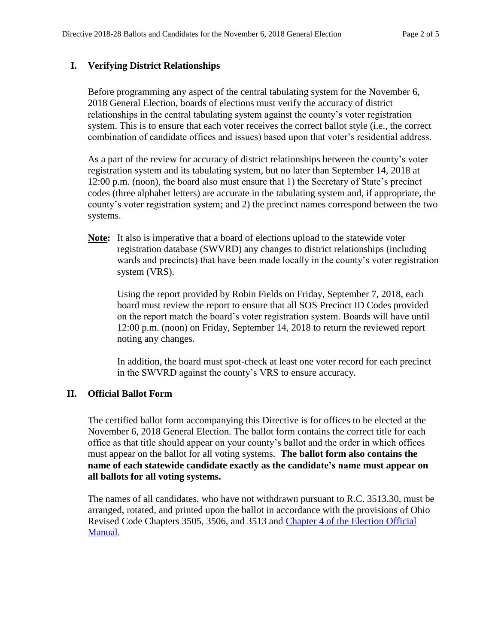## **I. Verifying District Relationships**

Before programming any aspect of the central tabulating system for the November 6, 2018 General Election, boards of elections must verify the accuracy of district relationships in the central tabulating system against the county's voter registration system. This is to ensure that each voter receives the correct ballot style (i.e., the correct combination of candidate offices and issues) based upon that voter's residential address.

As a part of the review for accuracy of district relationships between the county's voter registration system and its tabulating system, but no later than September 14, 2018 at 12:00 p.m. (noon), the board also must ensure that 1) the Secretary of State's precinct codes (three alphabet letters) are accurate in the tabulating system and, if appropriate, the county's voter registration system; and 2) the precinct names correspond between the two systems.

**Note:** It also is imperative that a board of elections upload to the statewide voter registration database (SWVRD) any changes to district relationships (including wards and precincts) that have been made locally in the county's voter registration system (VRS).

Using the report provided by Robin Fields on Friday, September 7, 2018, each board must review the report to ensure that all SOS Precinct ID Codes provided on the report match the board's voter registration system. Boards will have until 12:00 p.m. (noon) on Friday, September 14, 2018 to return the reviewed report noting any changes.

In addition, the board must spot-check at least one voter record for each precinct in the SWVRD against the county's VRS to ensure accuracy.

### **II. Official Ballot Form**

The certified ballot form accompanying this Directive is for offices to be elected at the November 6, 2018 General Election. The ballot form contains the correct title for each office as that title should appear on your county's ballot and the order in which offices must appear on the ballot for all voting systems. **The ballot form also contains the name of each statewide candidate exactly as the candidate's name must appear on all ballots for all voting systems.**

The names of all candidates, who have not withdrawn pursuant to R.C. 3513.30, must be arranged, rotated, and printed upon the ballot in accordance with the provisions of Ohio Revised Code Chapters 3505, 3506, and 3513 and [Chapter 4 of the Election Official](https://www.sos.state.oh.us/globalassets/elections/directives/2016/dir2016-22_eom-ch_04.pdf)  [Manual.](https://www.sos.state.oh.us/globalassets/elections/directives/2016/dir2016-22_eom-ch_04.pdf)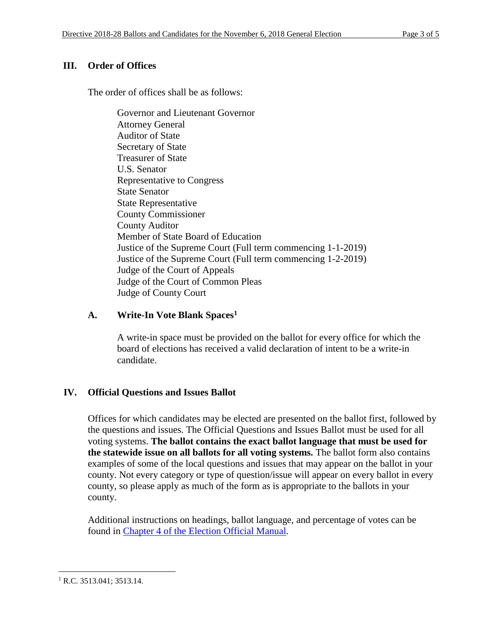## **III. Order of Offices**

The order of offices shall be as follows:

Governor and Lieutenant Governor Attorney General Auditor of State Secretary of State Treasurer of State U.S. Senator Representative to Congress State Senator State Representative County Commissioner County Auditor Member of State Board of Education Justice of the Supreme Court (Full term commencing 1-1-2019) Justice of the Supreme Court (Full term commencing 1-2-2019) Judge of the Court of Appeals Judge of the Court of Common Pleas Judge of County Court

### **A. Write-In Vote Blank Spaces<sup>1</sup>**

A write-in space must be provided on the ballot for every office for which the board of elections has received a valid declaration of intent to be a write-in candidate.

### **IV. Official Questions and Issues Ballot**

Offices for which candidates may be elected are presented on the ballot first, followed by the questions and issues. The Official Questions and Issues Ballot must be used for all voting systems. **The ballot contains the exact ballot language that must be used for the statewide issue on all ballots for all voting systems.** The ballot form also contains examples of some of the local questions and issues that may appear on the ballot in your county. Not every category or type of question/issue will appear on every ballot in every county, so please apply as much of the form as is appropriate to the ballots in your county.

Additional instructions on headings, ballot language, and percentage of votes can be found in Chapter 4 of the [Election Official Manual.](https://www.sos.state.oh.us/globalassets/elections/directives/2016/dir2016-22_eom-ch_04.pdf)

 $\overline{\phantom{a}}$ <sup>1</sup> R.C. 3513.041; 3513.14.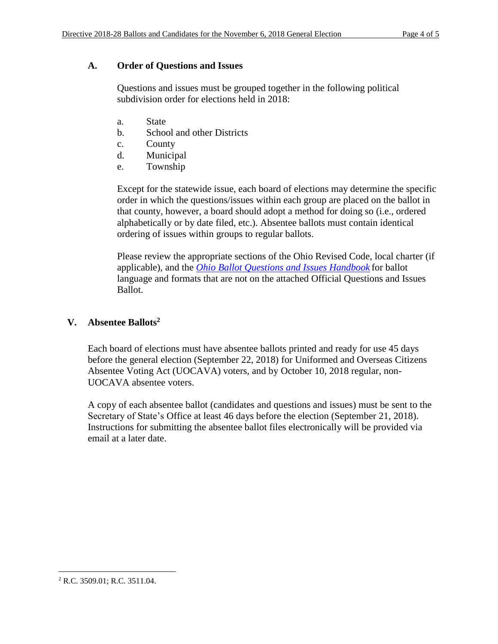### **A. Order of Questions and Issues**

Questions and issues must be grouped together in the following political subdivision order for elections held in 2018:

- a. State
- b. School and other Districts
- c. County
- d. Municipal
- e. Township

Except for the statewide issue, each board of elections may determine the specific order in which the questions/issues within each group are placed on the ballot in that county, however, a board should adopt a method for doing so (i.e., ordered alphabetically or by date filed, etc.). Absentee ballots must contain identical ordering of issues within groups to regular ballots.

Please review the appropriate sections of the Ohio Revised Code, local charter (if applicable), and the *[Ohio Ballot Questions and Issues Handbook](https://www.sos.state.oh.us/globalassets/elections/eoresources/general/questionsandissues.pdf)* for ballot language and formats that are not on the attached Official Questions and Issues Ballot.

## **V. Absentee Ballots<sup>2</sup>**

Each board of elections must have absentee ballots printed and ready for use 45 days before the general election (September 22, 2018) for Uniformed and Overseas Citizens Absentee Voting Act (UOCAVA) voters, and by October 10, 2018 regular, non-UOCAVA absentee voters.

A copy of each absentee ballot (candidates and questions and issues) must be sent to the Secretary of State's Office at least 46 days before the election (September 21, 2018). Instructions for submitting the absentee ballot files electronically will be provided via email at a later date.

 $\overline{\phantom{a}}$ <sup>2</sup> R.C. 3509.01; R.C. 3511.04.